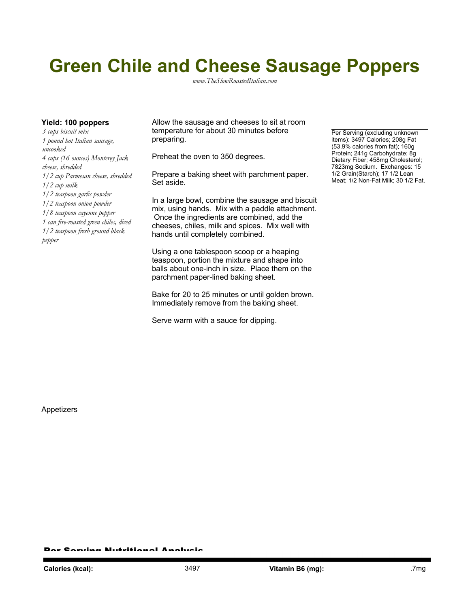## **Green Chile and Cheese Sausage Poppers**

*www.TheSlowRoastedItalian.com*

*3 cups biscuit mix 1 pound hot Italian sausage, uncooked 4 cups (16 ounces) Monterey Jack cheese, shredded 1/2 cup Parmesan cheese, shredded 1/2 cup milk 1/2 teaspoon garlic powder 1/2 teaspoon onion powder 1/8 teaspoon cayenne pepper 1 can fire-roasted green chiles, diced 1/2 teaspoon fresh ground black pepper*

**Yield: 100 poppers** Allow the sausage and cheeses to sit at room temperature for about 30 minutes before preparing.

Preheat the oven to 350 degrees.

Prepare a baking sheet with parchment paper. Set aside.

In a large bowl, combine the sausage and biscuit mix, using hands. Mix with a paddle attachment. Once the ingredients are combined, add the cheeses, chiles, milk and spices. Mix well with hands until completely combined.

Using a one tablespoon scoop or a heaping teaspoon, portion the mixture and shape into balls about one-inch in size. Place them on the parchment paper-lined baking sheet.

Bake for 20 to 25 minutes or until golden brown. Immediately remove from the baking sheet.

Serve warm with a sauce for dipping.

Per Serving (excluding unknown items): 3497 Calories; 208g Fat (53.9% calories from fat); 160g Protein; 241g Carbohydrate; 8g Dietary Fiber; 458mg Cholesterol; 7823mg Sodium. Exchanges: 15 1/2 Grain(Starch); 17 1/2 Lean Meat; 1/2 Non-Fat Milk; 30 1/2 Fat.

Appetizers

Per Serving Nutritional Analysis